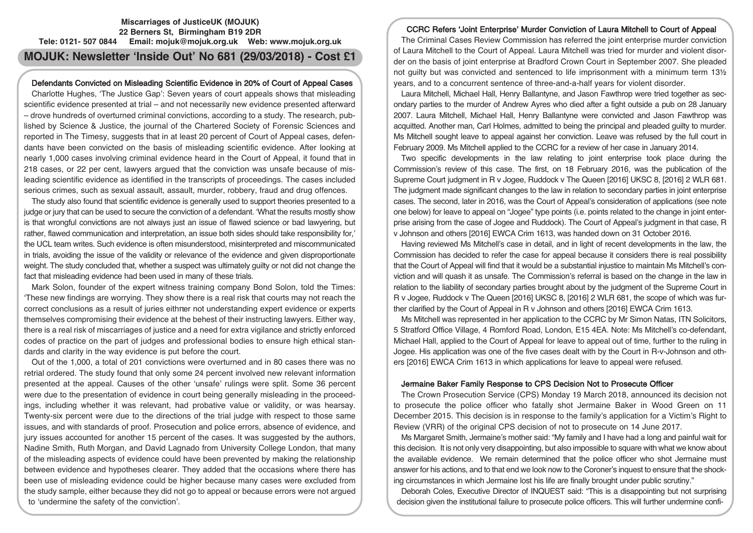# **Miscarriages of JusticeUK (MOJUK) 22 Berners St, Birmingham B19 2DR Tele: 0121- 507 0844 Email: mojuk@mojuk.org.uk Web: www.mojuk.org.uk**

# **MOJUK: Newsletter 'Inside Out' No 681 (29/03/2018) - Cost £1**

# Defendants Convicted on Misleading Scientific Evidence in 20% of Court of Appeal Cases

Charlotte Hughes, 'The Justice Gap': Seven years of court appeals shows that misleading scientific evidence presented at trial – and not necessarily new evidence presented afterward – drove hundreds of overturned criminal convictions, according to a study. The research, published by Science & Justice, the journal of the Chartered Society of Forensic Sciences and reported in The Timesy, suggests that in at least 20 percent of Court of Appeal cases, defendants have been convicted on the basis of misleading scientific evidence. After looking at nearly 1,000 cases involving criminal evidence heard in the Court of Appeal, it found that in 218 cases, or 22 per cent, lawyers argued that the conviction was unsafe because of misleading scientific evidence as identified in the transcripts of proceedings. The cases included serious crimes, such as sexual assault, assault, murder, robbery, fraud and drug offences.

The study also found that scientific evidence is generally used to support theories presented to a judge or jury that can be used to secure the conviction of a defendant. 'What the results mostly show is that wrongful convictions are not always just an issue of flawed science or bad lawyering, but rather, flawed communication and interpretation, an issue both sides should take responsibility for,' the UCL team writes. Such evidence is often misunderstood, misinterpreted and miscommunicated in trials, avoiding the issue of the validity or relevance of the evidence and given disproportionate weight. The study concluded that, whether a suspect was ultimately guilty or not did not change the fact that misleading evidence had been used in many of these trials.

Mark Solon, founder of the expert witness training company Bond Solon, told the Times: 'These new findings are worrying. They show there is a real risk that courts may not reach the correct conclusions as a result of juries eithπer not understanding expert evidence or experts themselves compromising their evidence at the behest of their instructing lawyers. Either way, there is a real risk of miscarriages of justice and a need for extra vigilance and strictly enforced codes of practice on the part of judges and professional bodies to ensure high ethical standards and clarity in the way evidence is put before the court.

Out of the 1,000, a total of 201 convictions were overturned and in 80 cases there was no retrial ordered. The study found that only some 24 percent involved new relevant information presented at the appeal. Causes of the other 'unsafe' rulings were split. Some 36 percent were due to the presentation of evidence in court being generally misleading in the proceedings, including whether it was relevant, had probative value or validity, or was hearsay. Twenty-six percent were due to the directions of the trial judge with respect to those same issues, and with standards of proof. Prosecution and police errors, absence of evidence, and jury issues accounted for another 15 percent of the cases. It was suggested by the authors, Nadine Smith, Ruth Morgan, and David Lagnado from University College London, that many of the misleading aspects of evidence could have been prevented by making the relationship between evidence and hypotheses clearer. They added that the occasions where there has been use of misleading evidence could be higher because many cases were excluded from the study sample, either because they did not go to appeal or because errors were not argued to 'undermine the safety of the conviction'.

# CCRC Refers 'Joint Enterprise' Murder Conviction of Laura Mitchell to Court of Appeal

The Criminal Cases Review Commission has referred the joint enterprise murder conviction of Laura Mitchell to the Court of Appeal. Laura Mitchell was tried for murder and violent disorder on the basis of joint enterprise at Bradford Crown Court in September 2007. She pleaded not guilty but was convicted and sentenced to life imprisonment with a minimum term 131/2 years, and to a concurrent sentence of three-and-a-half years for violent disorder.

Laura Mitchell, Michael Hall, Henry Ballantyne, and Jason Fawthrop were tried together as secondary parties to the murder of Andrew Ayres who died after a fight outside a pub on 28 January 2007. Laura Mitchell, Michael Hall, Henry Ballantyne were convicted and Jason Fawthrop was acquitted. Another man, Carl Holmes, admitted to being the principal and pleaded guilty to murder. Ms Mitchell sought leave to appeal against her conviction. Leave was refused by the full court in February 2009. Ms Mitchell applied to the CCRC for a review of her case in January 2014.

Two specific developments in the law relating to joint enterprise took place during the Commission's review of this case. The first, on 18 February 2016, was the publication of the Supreme Court judgment in R v Jogee, Ruddock v The Queen [2016] UKSC 8, [2016] 2 WLR 681. The judgment made significant changes to the law in relation to secondary parties in joint enterprise cases. The second, later in 2016, was the Court of Appeal's consideration of applications (see note one below) for leave to appeal on "Jogee" type points (i.e. points related to the change in joint enterprise arising from the case of Jogee and Ruddock). The Court of Appeal's judgment in that case, R v Johnson and others [2016] EWCA Crim 1613, was handed down on 31 October 2016.

Having reviewed Ms Mitchell's case in detail, and in light of recent developments in the law, the Commission has decided to refer the case for appeal because it considers there is real possibility that the Court of Appeal will find that it would be a substantial injustice to maintain Ms Mitchell's conviction and will quash it as unsafe. The Commission's referral is based on the change in the law in relation to the liability of secondary parties brought about by the judgment of the Supreme Court in R v Jogee, Ruddock v The Queen [2016] UKSC 8, [2016] 2 WLR 681, the scope of which was further clarified by the Court of Appeal in R v Johnson and others [2016] EWCA Crim 1613.

Ms Mitchell was represented in her application to the CCRC by Mr Simon Natas, ITN Solicitors, 5 Stratford Office Village, 4 Romford Road, London, E15 4EA. Note: Ms Mitchell's co-defendant, Michael Hall, applied to the Court of Appeal for leave to appeal out of time, further to the ruling in Jogee. His application was one of the five cases dealt with by the Court in R-v-Johnson and others [2016] EWCA Crim 1613 in which applications for leave to appeal were refused.

## Jermaine Baker Family Response to CPS Decision Not to Prosecute Officer

The Crown Prosecution Service (CPS) Monday 19 March 2018, announced its decision not to prosecute the police officer who fatally shot Jermaine Baker in Wood Green on 11 December 2015. This decision is in response to the family's application for a Victim's Right to Review (VRR) of the original CPS decision of not to prosecute on 14 June 2017.

Ms Margaret Smith, Jermaine's mother said: "My family and I have had a long and painful wait for this decision. It is not only very disappointing, but also impossible to square with what we know about the available evidence. We remain determined that the police officer who shot Jermaine must answer for his actions, and to that end we look now to the Coroner's inquest to ensure that the shocking circumstances in which Jermaine lost his life are finally brought under public scrutiny."

Deborah Coles, Executive Director of INQUEST said: "This is a disappointing but not surprising decision given the institutional failure to prosecute police officers. This will further undermine confi-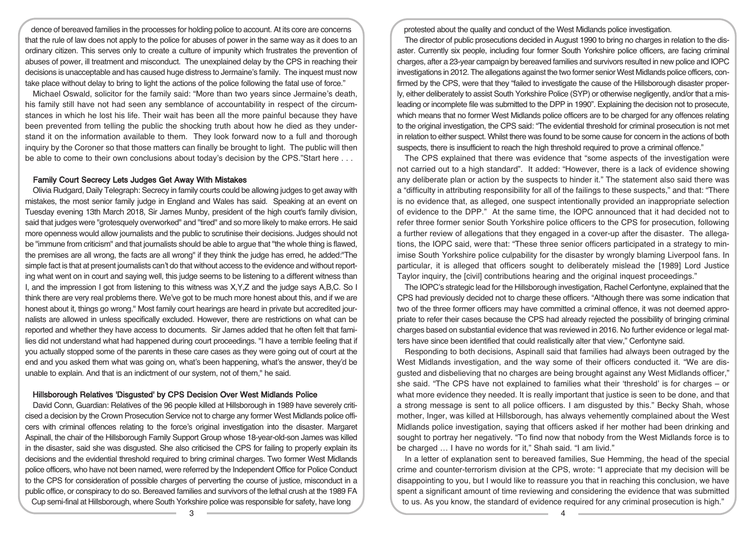dence of bereaved families in the processes for holding police to account. At its core are concerns that the rule of law does not apply to the police for abuses of power in the same way as it does to an ordinary citizen. This serves only to create a culture of impunity which frustrates the prevention of abuses of power, ill treatment and misconduct. The unexplained delay by the CPS in reaching their decisions is unacceptable and has caused huge distress to Jermaine's family. The inquest must now take place without delay to bring to light the actions of the police following the fatal use of force."

Michael Oswald, solicitor for the family said: "More than two years since Jermaine's death, his family still have not had seen any semblance of accountability in respect of the circumstances in which he lost his life. Their wait has been all the more painful because they have been prevented from telling the public the shocking truth about how he died as they understand it on the information available to them. They look forward now to a full and thorough inquiry by the Coroner so that those matters can finally be brought to light. The public will then be able to come to their own conclusions about today's decision by the CPS."Start here ...

#### Family Court Secrecy Lets Judges Get Away With Mistakes

Olivia Rudgard, Daily Telegraph: Secrecy in family courts could be allowing judges to get away with mistakes, the most senior family judge in England and Wales has said. Speaking at an event on Tuesday evening 13th March 2018, Sir James Munby, president of the high court's family division, said that judges were "grotesquely overworked" and "tired" and so more likely to make errors. He said more openness would allow journalists and the public to scrutinise their decisions. Judges should not be "immune from criticism" and that journalists should be able to argue that "the whole thing is flawed, the premises are all wrong, the facts are all wrong" if they think the judge has erred, he added:"The simple fact is that at present journalists can't do that without access to the evidence and without reporting what went on in court and saying well, this judge seems to be listening to a different witness than I, and the impression I got from listening to this witness was X,Y,Z and the judge says A,B,C. So I think there are very real problems there. We've got to be much more honest about this, and if we are honest about it, things go wrong." Most family court hearings are heard in private but accredited journalists are allowed in unless specifically excluded. However, there are restrictions on what can be reported and whether they have access to documents. Sir James added that he often felt that families did not understand what had happened during court proceedings. "I have a terrible feeling that if you actually stopped some of the parents in these care cases as they were going out of court at the end and you asked them what was going on, what's been happening, what's the answer, they'd be unable to explain. And that is an indictment of our system, not of them," he said.

# Hillsborough Relatives 'Disgusted' by CPS Decision Over West Midlands Police

David Conn, Guardian: Relatives of the 96 people killed at Hillsborough in 1989 have severely criticised a decision by the Crown Prosecution Service not to charge any former West Midlands police officers with criminal offences relating to the force's original investigation into the disaster. Margaret Aspinall, the chair of the Hillsborough Family Support Group whose 18-year-old-son James was killed in the disaster, said she was disgusted. She also criticised the CPS for failing to properly explain its decisions and the evidential threshold required to bring criminal charges. Two former West Midlands police officers, who have not been named, were referred by the Independent Office for Police Conduct to the CPS for consideration of possible charges of perverting the course of justice, misconduct in a public office, or conspiracy to do so. Bereaved families and survivors of the lethal crush at the 1989 FA Cup semi-final at Hillsborough, where South Yorkshire police was responsible for safety, have long

protested about the quality and conduct of the West Midlands police investigation.

The director of public prosecutions decided in August 1990 to bring no charges in relation to the disaster. Currently six people, including four former South Yorkshire police officers, are facing criminal charges, after a 23-year campaign by bereaved families and survivors resulted in new police and IOPC investigations in 2012. The allegations against the two former senior West Midlands police officers, confirmed by the CPS, were that they "failed to investigate the cause of the Hillsborough disaster properly, either deliberately to assist South Yorkshire Police (SYP) or otherwise negligently, and/or that a misleading or incomplete file was submitted to the DPP in 1990". Explaining the decision not to prosecute, which means that no former West Midlands police officers are to be charged for any offences relating to the original investigation, the CPS said: "The evidential threshold for criminal prosecution is not met in relation to either suspect. Whilst there was found to be some cause for concern in the actions of both suspects, there is insufficient to reach the high threshold required to prove a criminal offence."

The CPS explained that there was evidence that "some aspects of the investigation were not carried out to a high standard". It added: "However, there is a lack of evidence showing any deliberate plan or action by the suspects to hinder it." The statement also said there was a "difficulty in attributing responsibility for all of the failings to these suspects," and that: "There is no evidence that, as alleged, one suspect intentionally provided an inappropriate selection of evidence to the DPP." At the same time, the IOPC announced that it had decided not to refer three former senior South Yorkshire police officers to the CPS for prosecution, following a further review of allegations that they engaged in a cover-up after the disaster. The allegations, the IOPC said, were that: "These three senior officers participated in a strategy to minimise South Yorkshire police culpability for the disaster by wrongly blaming Liverpool fans. In particular, it is alleged that officers sought to deliberately mislead the [1989] Lord Justice Taylor inquiry, the [civil] contributions hearing and the original inquest proceedings."

The IOPC's strategic lead for the Hillsborough investigation, Rachel Cerfontyne, explained that the CPS had previously decided not to charge these officers. "Although there was some indication that two of the three former officers may have committed a criminal offence, it was not deemed appropriate to refer their cases because the CPS had already rejected the possibility of bringing criminal charges based on substantial evidence that was reviewed in 2016. No further evidence or legal matters have since been identified that could realistically alter that view," Cerfontyne said.

Responding to both decisions, Aspinall said that families had always been outraged by the West Midlands investigation, and the way some of their officers conducted it. "We are disgusted and disbelieving that no charges are being brought against any West Midlands officer," she said. "The CPS have not explained to families what their 'threshold' is for charges – or what more evidence they needed. It is really important that justice is seen to be done, and that a strong message is sent to all police officers. I am disgusted by this." Becky Shah, whose mother, Inger, was killed at Hillsborough, has always vehemently complained about the West Midlands police investigation, saying that officers asked if her mother had been drinking and sought to portray her negatively. "To find now that nobody from the West Midlands force is to be charged … I have no words for it," Shah said. "I am livid."

In a letter of explanation sent to bereaved families, Sue Hemming, the head of the special crime and counter-terrorism division at the CPS, wrote: "I appreciate that my decision will be disappointing to you, but I would like to reassure you that in reaching this conclusion, we have spent a significant amount of time reviewing and considering the evidence that was submitted to us. As you know, the standard of evidence required for any criminal prosecution is high."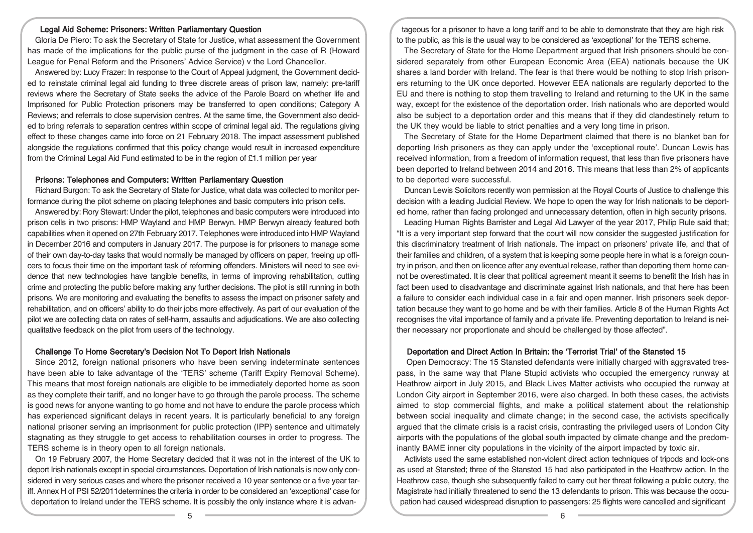# Legal Aid Scheme: Prisoners: Written Parliamentary Question

Gloria De Piero: To ask the Secretary of State for Justice, what assessment the Government has made of the implications for the public purse of the judgment in the case of R (Howard League for Penal Reform and the Prisoners' Advice Service) v the Lord Chancellor.

Answered by: Lucy Frazer: In response to the Court of Appeal judgment, the Government decided to reinstate criminal legal aid funding to three discrete areas of prison law, namely: pre-tariff reviews where the Secretary of State seeks the advice of the Parole Board on whether life and Imprisoned for Public Protection prisoners may be transferred to open conditions; Category A Reviews; and referrals to close supervision centres. At the same time, the Government also decided to bring referrals to separation centres within scope of criminal legal aid. The regulations giving effect to these changes came into force on 21 February 2018. The impact assessment published alongside the regulations confirmed that this policy change would result in increased expenditure from the Criminal Legal Aid Fund estimated to be in the region of £1.1 million per year

#### Prisons: Telephones and Computers: Written Parliamentary Question

Richard Burgon: To ask the Secretary of State for Justice, what data was collected to monitor performance during the pilot scheme on placing telephones and basic computers into prison cells.

Answered by: Rory Stewart: Under the pilot, telephones and basic computers were introduced into prison cells in two prisons: HMP Wayland and HMP Berwyn. HMP Berwyn already featured both capabilities when it opened on 27th February 2017. Telephones were introduced into HMP Wayland in December 2016 and computers in January 2017. The purpose is for prisoners to manage some of their own day-to-day tasks that would normally be managed by officers on paper, freeing up officers to focus their time on the important task of reforming offenders. Ministers will need to see evidence that new technologies have tangible benefits, in terms of improving rehabilitation, cutting crime and protecting the public before making any further decisions. The pilot is still running in both prisons. We are monitoring and evaluating the benefits to assess the impact on prisoner safety and rehabilitation, and on officers' ability to do their jobs more effectively. As part of our evaluation of the pilot we are collecting data on rates of self-harm, assaults and adjudications. We are also collecting qualitative feedback on the pilot from users of the technology.

#### Challenge To Home Secretary's Decision Not To Deport Irish Nationals

Since 2012, foreign national prisoners who have been serving indeterminate sentences have been able to take advantage of the 'TERS' scheme (Tariff Expiry Removal Scheme). This means that most foreign nationals are eligible to be immediately deported home as soon as they complete their tariff, and no longer have to go through the parole process. The scheme is good news for anyone wanting to go home and not have to endure the parole process which has experienced significant delays in recent years. It is particularly beneficial to any foreign national prisoner serving an imprisonment for public protection (IPP) sentence and ultimately stagnating as they struggle to get access to rehabilitation courses in order to progress. The TERS scheme is in theory open to all foreign nationals.

On 19 February 2007, the Home Secretary decided that it was not in the interest of the UK to deport Irish nationals except in special circumstances. Deportation of Irish nationals is now only considered in very serious cases and where the prisoner received a 10 year sentence or a five year tariff. Annex H of PSI 52/2011determines the criteria in order to be considered an 'exceptional' case for deportation to Ireland under the TERS scheme. It is possibly the only instance where it is advan-

tageous for a prisoner to have a long tariff and to be able to demonstrate that they are high risk to the public, as this is the usual way to be considered as 'exceptional' for the TERS scheme.

The Secretary of State for the Home Department argued that Irish prisoners should be considered separately from other European Economic Area (EEA) nationals because the UK shares a land border with Ireland. The fear is that there would be nothing to stop Irish prisoners returning to the UK once deported. However EEA nationals are regularly deported to the EU and there is nothing to stop them travelling to Ireland and returning to the UK in the same way, except for the existence of the deportation order. Irish nationals who are deported would also be subject to a deportation order and this means that if they did clandestinely return to the UK they would be liable to strict penalties and a very long time in prison.

The Secretary of State for the Home Department claimed that there is no blanket ban for deporting Irish prisoners as they can apply under the 'exceptional route'. Duncan Lewis has received information, from a freedom of information request, that less than five prisoners have been deported to Ireland between 2014 and 2016. This means that less than 2% of applicants to be deported were successful.

Duncan Lewis Solicitors recently won permission at the Royal Courts of Justice to challenge this decision with a leading Judicial Review. We hope to open the way for Irish nationals to be deported home, rather than facing prolonged and unnecessary detention, often in high security prisons.

Leading Human Rights Barrister and Legal Aid Lawyer of the year 2017, Philip Rule said that; "It is a very important step forward that the court will now consider the suggested justification for this discriminatory treatment of Irish nationals. The impact on prisoners' private life, and that of their families and children, of a system that is keeping some people here in what is a foreign country in prison, and then on licence after any eventual release, rather than deporting them home cannot be overestimated. It is clear that political agreement meant it seems to benefit the Irish has in fact been used to disadvantage and discriminate against Irish nationals, and that here has been a failure to consider each individual case in a fair and open manner. Irish prisoners seek deportation because they want to go home and be with their families. Article 8 of the Human Rights Act recognises the vital importance of family and a private life. Preventing deportation to Ireland is neither necessary nor proportionate and should be challenged by those affected".

# Deportation and Direct Action In Britain: the 'Terrorist Trial' of the Stansted 15

Open Democracy: The 15 Stansted defendants were initially charged with aggravated trespass, in the same way that Plane Stupid activists who occupied the emergency runway at Heathrow airport in July 2015, and Black Lives Matter activists who occupied the runway at London City airport in September 2016, were also charged. In both these cases, the activists aimed to stop commercial flights, and make a political statement about the relationship between social inequality and climate change; in the second case, the activists specifically argued that the climate crisis is a racist crisis, contrasting the privileged users of London City airports with the populations of the global south impacted by climate change and the predominantly BAME inner city populations in the vicinity of the airport impacted by toxic air.

Activists used the same established non-violent direct action techniques of tripods and lock-ons as used at Stansted; three of the Stansted 15 had also participated in the Heathrow action. In the Heathrow case, though she subsequently failed to carry out her threat following a public outcry, the Magistrate had initially threatened to send the 13 defendants to prison. This was because the occupation had caused widespread disruption to passengers: 25 flights were cancelled and significant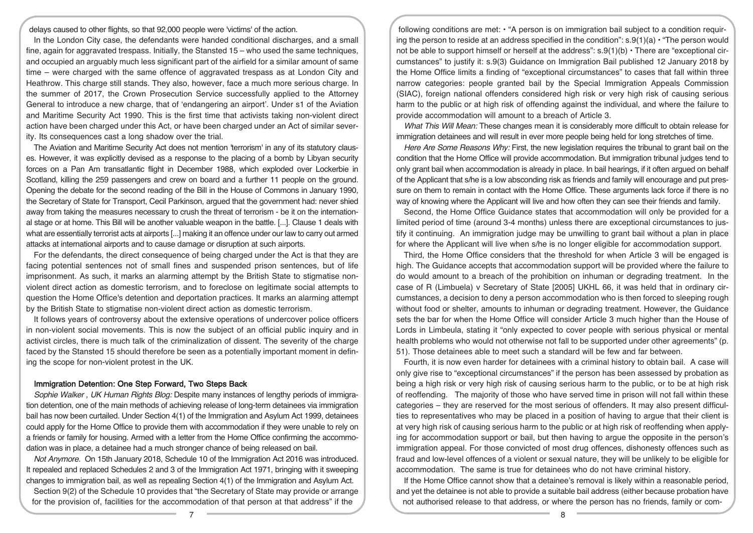delays caused to other flights, so that 92,000 people were 'victims' of the action.

In the London City case, the defendants were handed conditional discharges, and a small fine, again for aggravated trespass. Initially, the Stansted 15 – who used the same techniques, and occupied an arguably much less significant part of the airfield for a similar amount of same time – were charged with the same offence of aggravated trespass as at London City and Heathrow. This charge still stands. They also, however, face a much more serious charge. In the summer of 2017, the Crown Prosecution Service successfully applied to the Attorney General to introduce a new charge, that of 'endangering an airport'. Under s1 of the Aviation and Maritime Security Act 1990. This is the first time that activists taking non-violent direct action have been charged under this Act, or have been charged under an Act of similar severity. Its consequences cast a long shadow over the trial.

The Aviation and Maritime Security Act does not mention 'terrorism' in any of its statutory clauses. However, it was explicitly devised as a response to the placing of a bomb by Libyan security forces on a Pan Am transatlantic flight in December 1988, which exploded over Lockerbie in Scotland, killing the 259 passengers and crew on board and a further 11 people on the ground. Opening the debate for the second reading of the Bill in the House of Commons in January 1990, the Secretary of State for Transport, Cecil Parkinson, argued that the government had: never shied away from taking the measures necessary to crush the threat of terrorism - be it on the international stage or at home. This Bill will be another valuable weapon in the battle. [...]. Clause 1 deals with what are essentially terrorist acts at airports [...] making it an offence under our law to carry out armed attacks at international airports and to cause damage or disruption at such airports.

For the defendants, the direct consequence of being charged under the Act is that they are facing potential sentences not of small fines and suspended prison sentences, but of life imprisonment. As such, it marks an alarming attempt by the British State to stigmatise nonviolent direct action as domestic terrorism, and to foreclose on legitimate social attempts to question the Home Office's detention and deportation practices. It marks an alarming attempt by the British State to stigmatise non-violent direct action as domestic terrorism.

It follows years of controversy about the extensive operations of undercover police officers in non-violent social movements. This is now the subject of an official public inquiry and in activist circles, there is much talk of the criminalization of dissent. The severity of the charge faced by the Stansted 15 should therefore be seen as a potentially important moment in defining the scope for non-violent protest in the UK.

#### Immigration Detention: One Step Forward, Two Steps Back

Sophie Walker, UK Human Rights Blog: Despite many instances of lengthy periods of immigration detention, one of the main methods of achieving release of long-term detainees via immigration bail has now been curtailed. Under Section 4(1) of the Immigration and Asylum Act 1999, detainees could apply for the Home Office to provide them with accommodation if they were unable to rely on a friends or family for housing. Armed with a letter from the Home Office confirming the accommodation was in place, a detainee had a much stronger chance of being released on bail.

Not Anymore. On 15th January 2018, Schedule 10 of the Immigration Act 2016 was introduced. It repealed and replaced Schedules 2 and 3 of the Immigration Act 1971, bringing with it sweeping changes to immigration bail, as well as repealing Section 4(1) of the Immigration and Asylum Act.

Section 9(2) of the Schedule 10 provides that "the Secretary of State may provide or arrange for the provision of, facilities for the accommodation of that person at that address" if the

following conditions are met: • "A person is on immigration bail subject to a condition requiring the person to reside at an address specified in the condition":  $s.9(1)(a) \cdot$  "The person would not be able to support himself or herself at the address": s.9(1)(b) • There are "exceptional circumstances" to justify it: s.9(3) Guidance on Immigration Bail published 12 January 2018 by the Home Office limits a finding of "exceptional circumstances" to cases that fall within three narrow categories: people granted bail by the Special Immigration Appeals Commission (SIAC), foreign national offenders considered high risk or very high risk of causing serious harm to the public or at high risk of offending against the individual, and where the failure to provide accommodation will amount to a breach of Article 3.

What This Will Mean: These changes mean it is considerably more difficult to obtain release for immigration detainees and will result in ever more people being held for long stretches of time.

Here Are Some Reasons Why: First, the new legislation requires the tribunal to grant bail on the condition that the Home Office will provide accommodation. But immigration tribunal judges tend to only grant bail when accommodation is already in place. In bail hearings, if it often argued on behalf of the Applicant that s/he is a low absconding risk as friends and family will encourage and put pressure on them to remain in contact with the Home Office. These arguments lack force if there is no way of knowing where the Applicant will live and how often they can see their friends and family.

Second, the Home Office Guidance states that accommodation will only be provided for a limited period of time (around 3-4 months) unless there are exceptional circumstances to justify it continuing. An immigration judge may be unwilling to grant bail without a plan in place for where the Applicant will live when s/he is no longer eligible for accommodation support.

Third, the Home Office considers that the threshold for when Article 3 will be engaged is high. The Guidance accepts that accommodation support will be provided where the failure to do would amount to a breach of the prohibition on inhuman or degrading treatment. In the case of R (Limbuela) v Secretary of State [2005] UKHL 66, it was held that in ordinary circumstances, a decision to deny a person accommodation who is then forced to sleeping rough without food or shelter, amounts to inhuman or degrading treatment. However, the Guidance sets the bar for when the Home Office will consider Article 3 much higher than the House of Lords in Limbeula, stating it "only expected to cover people with serious physical or mental health problems who would not otherwise not fall to be supported under other agreements" (p. 51). Those detainees able to meet such a standard will be few and far between.

Fourth, it is now even harder for detainees with a criminal history to obtain bail. A case will only give rise to "exceptional circumstances" if the person has been assessed by probation as being a high risk or very high risk of causing serious harm to the public, or to be at high risk of reoffending. The majority of those who have served time in prison will not fall within these categories – they are reserved for the most serious of offenders. It may also present difficulties to representatives who may be placed in a position of having to argue that their client is at very high risk of causing serious harm to the public or at high risk of reoffending when applying for accommodation support or bail, but then having to argue the opposite in the person's immigration appeal. For those convicted of most drug offences, dishonesty offences such as fraud and low-level offences of a violent or sexual nature, they will be unlikely to be eligible for accommodation. The same is true for detainees who do not have criminal history.

If the Home Office cannot show that a detainee's removal is likely within a reasonable period, and yet the detainee is not able to provide a suitable bail address (either because probation have not authorised release to that address, or where the person has no friends, family or com-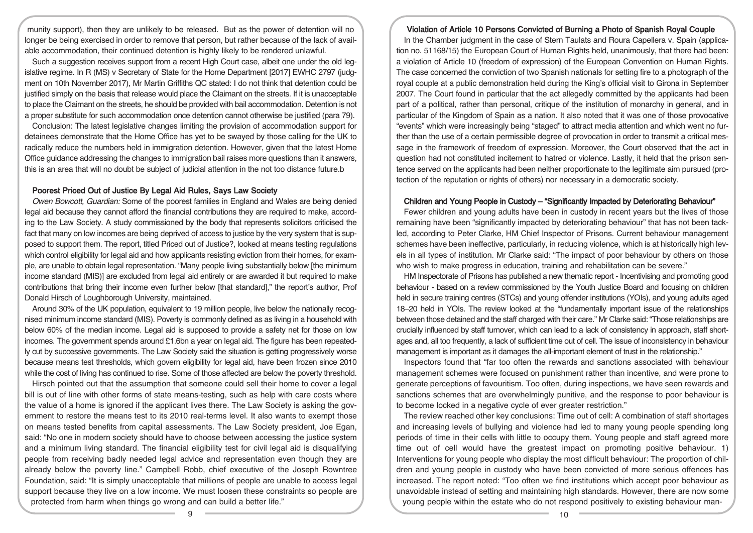munity support), then they are unlikely to be released. But as the power of detention will no longer be being exercised in order to remove that person, but rather because of the lack of available accommodation, their continued detention is highly likely to be rendered unlawful.

Such a suggestion receives support from a recent High Court case, albeit one under the old legislative regime. In R (MS) v Secretary of State for the Home Department [2017] EWHC 2797 (judgment on 10th November 2017), Mr Martin Griffiths QC stated: I do not think that detention could be justified simply on the basis that release would place the Claimant on the streets. If it is unacceptable to place the Claimant on the streets, he should be provided with bail accommodation. Detention is not a proper substitute for such accommodation once detention cannot otherwise be justified (para 79).

Conclusion: The latest legislative changes limiting the provision of accommodation support for detainees demonstrate that the Home Office has yet to be swayed by those calling for the UK to radically reduce the numbers held in immigration detention. However, given that the latest Home Office guidance addressing the changes to immigration bail raises more questions than it answers, this is an area that will no doubt be subject of judicial attention in the not too distance future.b

### Poorest Priced Out of Justice By Legal Aid Rules, Says Law Society

Owen Bowcott, Guardian: Some of the poorest families in England and Wales are being denied legal aid because they cannot afford the financial contributions they are required to make, according to the Law Society. A study commissioned by the body that represents solicitors criticised the fact that many on low incomes are being deprived of access to justice by the very system that is supposed to support them. The report, titled Priced out of Justice?, looked at means testing regulations which control eligibility for legal aid and how applicants resisting eviction from their homes, for example, are unable to obtain legal representation. "Many people living substantially below [the minimum income standard (MIS)] are excluded from legal aid entirely or are awarded it but required to make contributions that bring their income even further below [that standard]," the report's author, Prof Donald Hirsch of Loughborough University, maintained.

Around 30% of the UK population, equivalent to 19 million people, live below the nationally recognised minimum income standard (MIS). Poverty is commonly defined as as living in a household with below 60% of the median income. Legal aid is supposed to provide a safety net for those on low incomes. The government spends around £1.6bn a year on legal aid. The figure has been repeatedly cut by successive governments. The Law Society said the situation is getting progressively worse because means test thresholds, which govern eligibility for legal aid, have been frozen since 2010 while the cost of living has continued to rise. Some of those affected are below the poverty threshold.

Hirsch pointed out that the assumption that someone could sell their home to cover a legal bill is out of line with other forms of state means-testing, such as help with care costs where the value of a home is ignored if the applicant lives there. The Law Society is asking the government to restore the means test to its 2010 real-terms level. It also wants to exempt those on means tested benefits from capital assessments. The Law Society president, Joe Egan, said: "No one in modern society should have to choose between accessing the justice system and a minimum living standard. The financial eligibility test for civil legal aid is disqualifying people from receiving badly needed legal advice and representation even though they are already below the poverty line." Campbell Robb, chief executive of the Joseph Rowntree Foundation, said: "It is simply unacceptable that millions of people are unable to access legal support because they live on a low income. We must loosen these constraints so people are protected from harm when things go wrong and can build a better life."

# Violation of Article 10 Persons Convicted of Burning a Photo of Spanish Royal Couple

In the Chamber judgment in the case of Stern Taulats and Roura Capellera v. Spain (application no. 51168/15) the European Court of Human Rights held, unanimously, that there had been: a violation of Article 10 (freedom of expression) of the European Convention on Human Rights. The case concerned the conviction of two Spanish nationals for setting fire to a photograph of the royal couple at a public demonstration held during the King's official visit to Girona in September 2007. The Court found in particular that the act allegedly committed by the applicants had been part of a political, rather than personal, critique of the institution of monarchy in general, and in particular of the Kingdom of Spain as a nation. It also noted that it was one of those provocative "events" which were increasingly being "staged" to attract media attention and which went no further than the use of a certain permissible degree of provocation in order to transmit a critical message in the framework of freedom of expression. Moreover, the Court observed that the act in question had not constituted incitement to hatred or violence. Lastly, it held that the prison sentence served on the applicants had been neither proportionate to the legitimate aim pursued (protection of the reputation or rights of others) nor necessary in a democratic society.

#### Children and Young People in Custody – "Significantly Impacted by Deteriorating Behaviour"

Fewer children and young adults have been in custody in recent years but the lives of those remaining have been "significantly impacted by deteriorating behaviour" that has not been tackled, according to Peter Clarke, HM Chief Inspector of Prisons. Current behaviour management schemes have been ineffective, particularly, in reducing violence, which is at historically high levels in all types of institution. Mr Clarke said: "The impact of poor behaviour by others on those who wish to make progress in education, training and rehabilitation can be severe."

HM Inspectorate of Prisons has published a new thematic report - Incentivising and promoting good behaviour - based on a review commissioned by the Youth Justice Board and focusing on children held in secure training centres (STCs) and young offender institutions (YOIs), and young adults aged 18–20 held in YOIs. The review looked at the "fundamentally important issue of the relationships between those detained and the staff charged with their care." Mr Clarke said: "Those relationships are crucially influenced by staff turnover, which can lead to a lack of consistency in approach, staff shortages and, all too frequently, a lack of sufficient time out of cell. The issue of inconsistency in behaviour management is important as it damages the all-important element of trust in the relationship."

Inspectors found that "far too often the rewards and sanctions associated with behaviour management schemes were focused on punishment rather than incentive, and were prone to generate perceptions of favouritism. Too often, during inspections, we have seen rewards and sanctions schemes that are overwhelmingly punitive, and the response to poor behaviour is to become locked in a negative cycle of ever greater restriction."

The review reached other key conclusions: Time out of cell: A combination of staff shortages and increasing levels of bullying and violence had led to many young people spending long periods of time in their cells with little to occupy them. Young people and staff agreed more time out of cell would have the greatest impact on promoting positive behaviour. 1) Interventions for young people who display the most difficult behaviour: The proportion of children and young people in custody who have been convicted of more serious offences has increased. The report noted: "Too often we find institutions which accept poor behaviour as unavoidable instead of setting and maintaining high standards. However, there are now some young people within the estate who do not respond positively to existing behaviour man-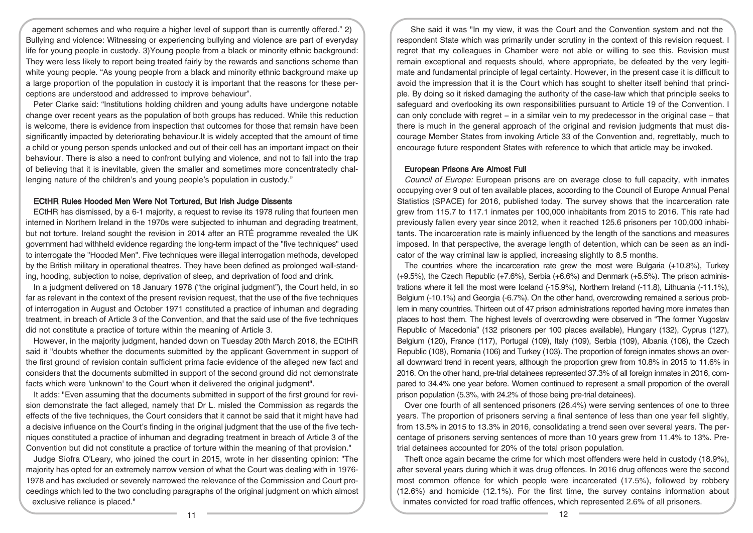agement schemes and who require a higher level of support than is currently offered." 2) Bullying and violence: Witnessing or experiencing bullying and violence are part of everyday life for young people in custody. 3)Young people from a black or minority ethnic background: They were less likely to report being treated fairly by the rewards and sanctions scheme than white young people. "As young people from a black and minority ethnic background make up a large proportion of the population in custody it is important that the reasons for these perceptions are understood and addressed to improve behaviour".

Peter Clarke said: "Institutions holding children and young adults have undergone notable change over recent years as the population of both groups has reduced. While this reduction is welcome, there is evidence from inspection that outcomes for those that remain have been significantly impacted by deteriorating behaviour.It is widely accepted that the amount of time a child or young person spends unlocked and out of their cell has an important impact on their behaviour. There is also a need to confront bullying and violence, and not to fall into the trap of believing that it is inevitable, given the smaller and sometimes more concentratedly challenging nature of the children's and young people's population in custody."

#### ECtHR Rules Hooded Men Were Not Tortured, But Irish Judge Dissents

ECtHR has dismissed, by a 6-1 majority, a request to revise its 1978 ruling that fourteen men interned in Northern Ireland in the 1970s were subjected to inhuman and degrading treatment, but not torture. Ireland sought the revision in 2014 after an RTÉ programme revealed the UK government had withheld evidence regarding the long-term impact of the "five techniques" used to interrogate the "Hooded Men". Five techniques were illegal interrogation methods, developed by the British military in operational theatres. They have been defined as prolonged wall-standing, hooding, subjection to noise, deprivation of sleep, and deprivation of food and drink.

In a judgment delivered on 18 January 1978 ("the original judgment"), the Court held, in so far as relevant in the context of the present revision request, that the use of the five techniques of interrogation in August and October 1971 constituted a practice of inhuman and degrading treatment, in breach of Article 3 of the Convention, and that the said use of the five techniques did not constitute a practice of torture within the meaning of Article 3.

However, in the majority judgment, handed down on Tuesday 20th March 2018, the ECtHR said it "doubts whether the documents submitted by the applicant Government in support of the first ground of revision contain sufficient prima facie evidence of the alleged new fact and considers that the documents submitted in support of the second ground did not demonstrate facts which were 'unknown' to the Court when it delivered the original judgment".

It adds: "Even assuming that the documents submitted in support of the first ground for revision demonstrate the fact alleged, namely that Dr L. misled the Commission as regards the effects of the five techniques, the Court considers that it cannot be said that it might have had a decisive influence on the Court's finding in the original judgment that the use of the five techniques constituted a practice of inhuman and degrading treatment in breach of Article 3 of the Convention but did not constitute a practice of torture within the meaning of that provision."

Judge Síofra O'Leary, who joined the court in 2015, wrote in her dissenting opinion: "The majority has opted for an extremely narrow version of what the Court was dealing with in 1976- 1978 and has excluded or severely narrowed the relevance of the Commission and Court proceedings which led to the two concluding paragraphs of the original judgment on which almost exclusive reliance is placed."

She said it was "In my view, it was the Court and the Convention system and not the respondent State which was primarily under scrutiny in the context of this revision request. I regret that my colleagues in Chamber were not able or willing to see this. Revision must remain exceptional and requests should, where appropriate, be defeated by the very legitimate and fundamental principle of legal certainty. However, in the present case it is difficult to avoid the impression that it is the Court which has sought to shelter itself behind that principle. By doing so it risked damaging the authority of the case-law which that principle seeks to safeguard and overlooking its own responsibilities pursuant to Article 19 of the Convention. I can only conclude with regret − in a similar vein to my predecessor in the original case – that there is much in the general approach of the original and revision judgments that must discourage Member States from invoking Article 33 of the Convention and, regrettably, much to encourage future respondent States with reference to which that article may be invoked.

# European Prisons Are Almost Full

Council of Europe: European prisons are on average close to full capacity, with inmates occupying over 9 out of ten available places, according to the Council of Europe Annual Penal Statistics (SPACE) for 2016, published today. The survey shows that the incarceration rate grew from 115.7 to 117.1 inmates per 100,000 inhabitants from 2015 to 2016. This rate had previously fallen every year since 2012, when it reached 125.6 prisoners per 100,000 inhabitants. The incarceration rate is mainly influenced by the length of the sanctions and measures imposed. In that perspective, the average length of detention, which can be seen as an indicator of the way criminal law is applied, increasing slightly to 8.5 months.

The countries where the incarceration rate grew the most were Bulgaria (+10.8%), Turkey (+9.5%), the Czech Republic (+7.6%), Serbia (+6.6%) and Denmark (+5.5%). The prison administrations where it fell the most were Iceland (-15.9%), Northern Ireland (-11.8), Lithuania (-11.1%), Belgium (-10.1%) and Georgia (-6.7%). On the other hand, overcrowding remained a serious problem in many countries. Thirteen out of 47 prison administrations reported having more inmates than places to host them. The highest levels of overcrowding were observed in "The former Yugoslav Republic of Macedonia" (132 prisoners per 100 places available), Hungary (132), Cyprus (127), Belgium (120), France (117), Portugal (109), Italy (109), Serbia (109), Albania (108), the Czech Republic (108), Romania (106) and Turkey (103). The proportion of foreign inmates shows an overall downward trend in recent years, although the proportion grew from 10.8% in 2015 to 11.6% in 2016. On the other hand, pre-trial detainees represented 37.3% of all foreign inmates in 2016, compared to 34.4% one year before. Women continued to represent a small proportion of the overall prison population (5.3%, with 24.2% of those being pre-trial detainees).

Over one fourth of all sentenced prisoners (26.4%) were serving sentences of one to three years. The proportion of prisoners serving a final sentence of less than one year fell slightly, from 13.5% in 2015 to 13.3% in 2016, consolidating a trend seen over several years. The percentage of prisoners serving sentences of more than 10 years grew from 11.4% to 13%. Pretrial detainees accounted for 20% of the total prison population.

Theft once again became the crime for which most offenders were held in custody (18.9%), after several years during which it was drug offences. In 2016 drug offences were the second most common offence for which people were incarcerated (17.5%), followed by robbery (12.6%) and homicide (12.1%). For the first time, the survey contains information about inmates convicted for road traffic offences, which represented 2.6% of all prisoners.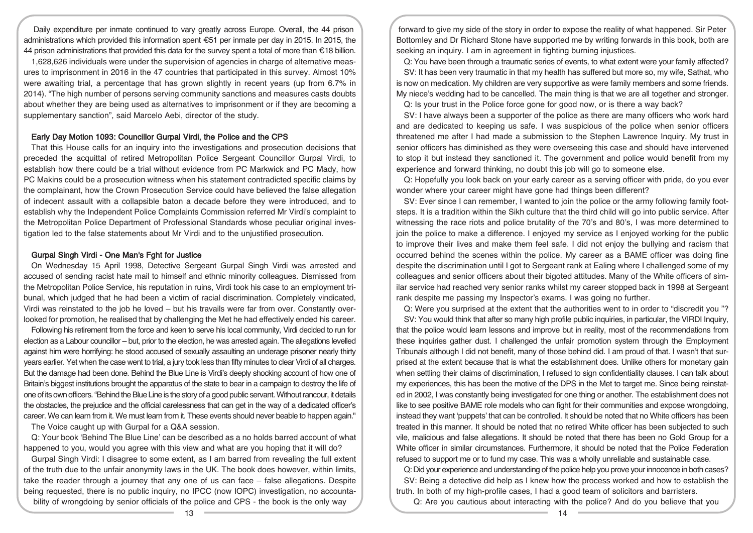Daily expenditure per inmate continued to vary greatly across Europe. Overall, the 44 prison administrations which provided this information spent €51 per inmate per day in 2015. In 2015, the 44 prison administrations that provided this data for the survey spent a total of more than €18 billion.

1,628,626 individuals were under the supervision of agencies in charge of alternative measures to imprisonment in 2016 in the 47 countries that participated in this survey. Almost 10% were awaiting trial, a percentage that has grown slightly in recent years (up from 6.7% in 2014). "The high number of persons serving community sanctions and measures casts doubts about whether they are being used as alternatives to imprisonment or if they are becoming a supplementary sanction", said Marcelo Aebi, director of the study.

#### Early Day Motion 1093: Councillor Gurpal Virdi, the Police and the CPS

That this House calls for an inquiry into the investigations and prosecution decisions that preceded the acquittal of retired Metropolitan Police Sergeant Councillor Gurpal Virdi, to establish how there could be a trial without evidence from PC Markwick and PC Mady, how PC Makins could be a prosecution witness when his statement contradicted specific claims by the complainant, how the Crown Prosecution Service could have believed the false allegation of indecent assault with a collapsible baton a decade before they were introduced, and to establish why the Independent Police Complaints Commission referred Mr Virdi's complaint to the Metropolitan Police Department of Professional Standards whose peculiar original investigation led to the false statements about Mr Virdi and to the unjustified prosecution.

#### Gurpal Singh Virdi - One Man's Fght for Justice

On Wednesday 15 April 1998, Detective Sergeant Gurpal Singh Virdi was arrested and accused of sending racist hate mail to himself and ethnic minority colleagues. Dismissed from the Metropolitan Police Service, his reputation in ruins, Virdi took his case to an employment tribunal, which judged that he had been a victim of racial discrimination. Completely vindicated, Virdi was reinstated to the job he loved – but his travails were far from over. Constantly overlooked for promotion, he realised that by challenging the Met he had effectively ended his career.

Following his retirement from the force and keen to serve his local community, Virdi decided to run for election as a Labour councillor – but, prior to the election, he was arrested again. The allegations levelled against him were horrifying: he stood accused of sexually assaulting an underage prisoner nearly thirty years earlier. Yet when the case went to trial, a jury took less than fifty minutes to clear Virdi of all charges. But the damage had been done. Behind the Blue Line is Virdi's deeply shocking account of how one of Britain's biggest institutions brought the apparatus of the state to bear in a campaign to destroy the life of one of its own officers."Behind theBlue Line is the story of a good public servant.Withoutrancour, it details the obstacles, the prejudice and the official carelessness that can get in the way of a dedicated officer's career. We can learn from it. We must learn from it. These events should never beable to happen again."

The Voice caught up with Gurpal for a Q&A session.

Q: Your book 'Behind The Blue Line' can be described as a no holds barred account of what happened to you, would you agree with this view and what are you hoping that it will do?

Gurpal Singh Virdi: I disagree to some extent, as I am barred from revealing the full extent of the truth due to the unfair anonymity laws in the UK. The book does however, within limits, take the reader through a journey that any one of us can face – false allegations. Despite being requested, there is no public inquiry, no IPCC (now IOPC) investigation, no accountability of wrongdoing by senior officials of the police and CPS - the book is the only way

forward to give my side of the story in order to expose the reality of what happened. Sir Peter Bottomley and Dr Richard Stone have supported me by writing forwards in this book, both are seeking an inquiry. I am in agreement in fighting burning injustices.

Q: You have been through a traumatic series of events, to what extent were your family affected? SV: It has been very traumatic in that my health has suffered but more so, my wife, Sathat, who is now on medication. My children are very supportive as were family members and some friends. My niece's wedding had to be cancelled. The main thing is that we are all together and stronger.

Q: Is your trust in the Police force gone for good now, or is there a way back?

SV: I have always been a supporter of the police as there are many officers who work hard and are dedicated to keeping us safe. I was suspicious of the police when senior officers threatened me after I had made a submission to the Stephen Lawrence Inquiry. My trust in senior officers has diminished as they were overseeing this case and should have intervened to stop it but instead they sanctioned it. The government and police would benefit from my experience and forward thinking, no doubt this job will go to someone else.

Q: Hopefully you look back on your early career as a serving officer with pride, do you ever wonder where your career might have gone had things been different?

SV: Ever since I can remember, I wanted to join the police or the army following family footsteps. It is a tradition within the Sikh culture that the third child will go into public service. After witnessing the race riots and police brutality of the 70's and 80's, I was more determined to join the police to make a difference. I enjoyed my service as I enjoyed working for the public to improve their lives and make them feel safe. I did not enjoy the bullying and racism that occurred behind the scenes within the police. My career as a BAME officer was doing fine despite the discrimination until I got to Sergeant rank at Ealing where I challenged some of my colleagues and senior officers about their bigoted attitudes. Many of the White officers of similar service had reached very senior ranks whilst my career stopped back in 1998 at Sergeant rank despite me passing my Inspector's exams. I was going no further.

Q: Were you surprised at the extent that the authorities went to in order to "discredit you "?

SV: You would think that after so many high profile public inquiries, in particular, the VIRDI Inquiry, that the police would learn lessons and improve but in reality, most of the recommendations from these inquiries gather dust. I challenged the unfair promotion system through the Employment Tribunals although I did not benefit, many of those behind did. I am proud of that. I wasn't that surprised at the extent because that is what the establishment does. Unlike others for monetary gain when settling their claims of discrimination, I refused to sign confidentiality clauses. I can talk about my experiences, this has been the motive of the DPS in the Met to target me. Since being reinstated in 2002, I was constantly being investigated for one thing or another. The establishment does not like to see positive BAME role models who can fight for their communities and expose wrongdoing, instead they want 'puppets' that can be controlled. It should be noted that no White officers has been treated in this manner. It should be noted that no retired White officer has been subjected to such vile, malicious and false allegations. It should be noted that there has been no Gold Group for a White officer in similar circumstances. Furthermore, it should be noted that the Police Federation refused to support me or to fund my case. This was a wholly unreliable and sustainable case.

Q: Did your experience and understanding of the police help you prove yourinnocence in both cases? SV: Being a detective did help as I knew how the process worked and how to establish the truth. In both of my high-profile cases, I had a good team of solicitors and barristers.

Q: Are you cautious about interacting with the police? And do you believe that you